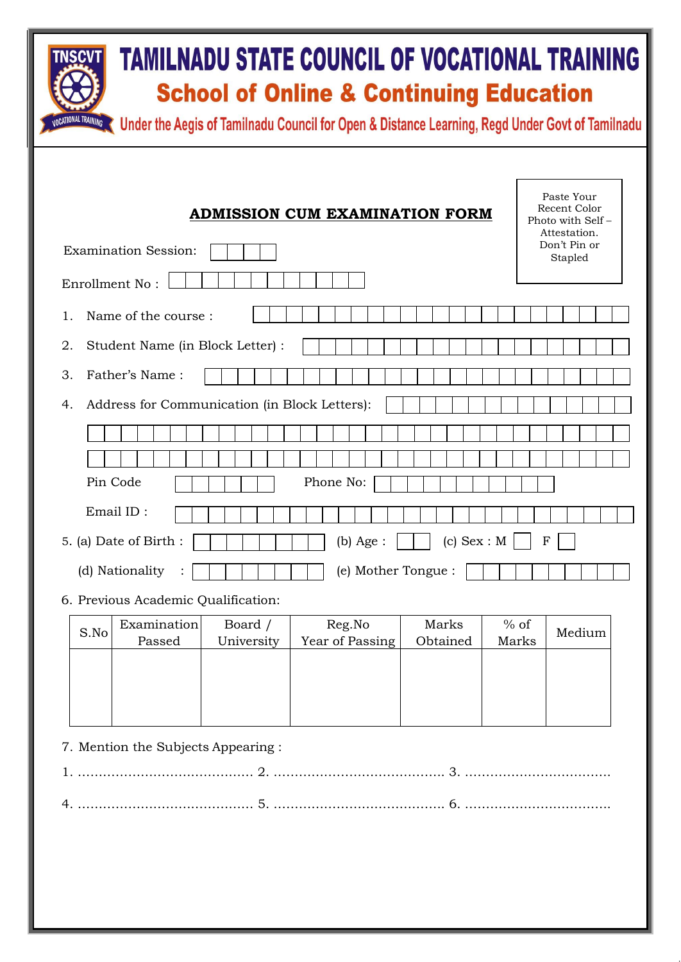| TAMILNADU STATE COUNCIL OF VOCATIONAL TRAINING<br><b>School of Online &amp; Continuing Education</b><br><b>CATIONAL TRAINING</b><br>Under the Aegis of Tamilnadu Council for Open & Distance Learning, Regd Under Govt of Tamilnadu                                                                                                                                            |  |  |  |  |  |
|--------------------------------------------------------------------------------------------------------------------------------------------------------------------------------------------------------------------------------------------------------------------------------------------------------------------------------------------------------------------------------|--|--|--|--|--|
| Paste Your<br>Recent Color<br><b>ADMISSION CUM EXAMINATION FORM</b><br>Photo with Self-<br>Attestation.<br>Don't Pin or<br><b>Examination Session:</b><br>Stapled<br>Enrollment No:<br>Name of the course:<br>$\mathbf{1}$ .<br>2.<br>Student Name (in Block Letter) :<br>3.<br>Father's Name:<br>Address for Communication (in Block Letters):<br>4.<br>Pin Code<br>Phone No: |  |  |  |  |  |
| Email ID:                                                                                                                                                                                                                                                                                                                                                                      |  |  |  |  |  |
| 5. (a) Date of Birth:<br>$(c)$ Sex : M<br>$(b)$ Age :<br>F<br>(e) Mother Tongue :<br>(d) Nationality<br>6. Previous Academic Qualification:                                                                                                                                                                                                                                    |  |  |  |  |  |
| Reg.No<br>Examination<br>Marks<br>$%$ of<br>Board /<br>S.No<br>Medium<br>Passed<br>University<br>Year of Passing<br>Obtained<br>Marks                                                                                                                                                                                                                                          |  |  |  |  |  |
| 7. Mention the Subjects Appearing :                                                                                                                                                                                                                                                                                                                                            |  |  |  |  |  |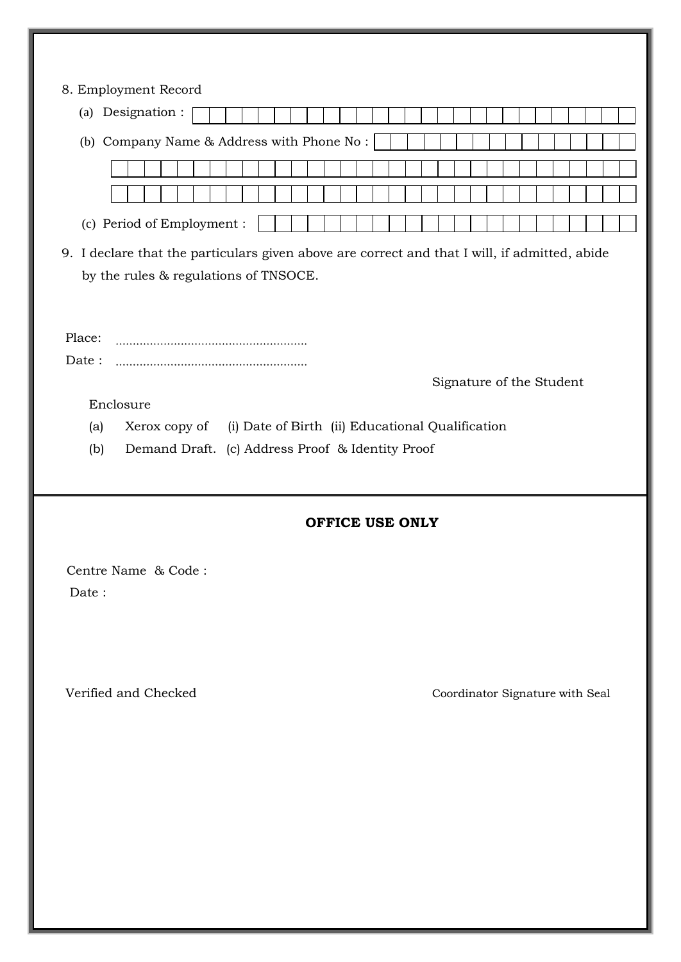| 8. Employment Record<br>(a) Designation :                                                                                              |                                 |  |  |  |  |
|----------------------------------------------------------------------------------------------------------------------------------------|---------------------------------|--|--|--|--|
|                                                                                                                                        |                                 |  |  |  |  |
| (b) Company Name & Address with Phone No:                                                                                              |                                 |  |  |  |  |
|                                                                                                                                        |                                 |  |  |  |  |
|                                                                                                                                        |                                 |  |  |  |  |
| (c) Period of Employment :                                                                                                             |                                 |  |  |  |  |
| 9. I declare that the particulars given above are correct and that I will, if admitted, abide<br>by the rules & regulations of TNSOCE. |                                 |  |  |  |  |
| Place:                                                                                                                                 |                                 |  |  |  |  |
| Date:                                                                                                                                  |                                 |  |  |  |  |
|                                                                                                                                        | Signature of the Student        |  |  |  |  |
| Enclosure                                                                                                                              |                                 |  |  |  |  |
| (i) Date of Birth (ii) Educational Qualification<br>(a)<br>Xerox copy of<br>(b)<br>Demand Draft. (c) Address Proof & Identity Proof    |                                 |  |  |  |  |
|                                                                                                                                        |                                 |  |  |  |  |
| OFFICE USE ONLY                                                                                                                        |                                 |  |  |  |  |
|                                                                                                                                        |                                 |  |  |  |  |
| Centre Name & Code:<br>Date:                                                                                                           |                                 |  |  |  |  |
|                                                                                                                                        |                                 |  |  |  |  |
|                                                                                                                                        |                                 |  |  |  |  |
|                                                                                                                                        |                                 |  |  |  |  |
| Verified and Checked                                                                                                                   | Coordinator Signature with Seal |  |  |  |  |
|                                                                                                                                        |                                 |  |  |  |  |
|                                                                                                                                        |                                 |  |  |  |  |
|                                                                                                                                        |                                 |  |  |  |  |
|                                                                                                                                        |                                 |  |  |  |  |
|                                                                                                                                        |                                 |  |  |  |  |